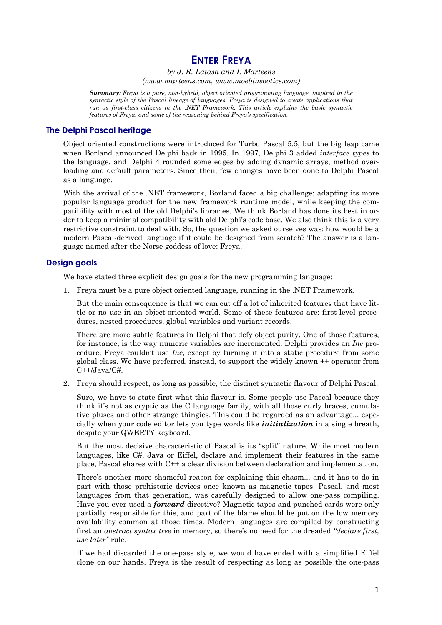## **ENTER FREYA**

by J. R. Latasa and I. Marteens  $(www.marteens.com, www.moebiusootics.com)$ 

<span id="page-0-0"></span>Summary: Freya is a pure, non-hybrid, object oriented programming language, inspired in the syntactic style of the Pascal lineage of languages. Freya is designed to create applications that run as first-class citizens in the .NET Framework. This article explains the basic syntactic features of Freya, and some of the reasoning behind Freya's specification.

## **The Delphi Pascal heritage**

Object oriented constructions were introduced for Turbo Pascal 5.5, but the big leap came when Borland announced Delphi back in 1995. In 1997, Delphi 3 added *interface types* to the language, and Delphi 4 rounded some edges by adding dynamic arrays, method overloading and default parameters. Since then, few changes have been done to Delphi Pascal as a language.

With the arrival of the .NET framework. Borland faced a big challenge: adapting its more popular language product for the new framework runtime model, while keeping the compatibility with most of the old Delphi's libraries. We think Borland has done its best in order to keep a minimal compatibility with old Delphi's code base. We also think this is a very restrictive constraint to deal with. So, the question we asked ourselves was: how would be a modern Pascal-derived language if it could be designed from scratch? The answer is a language named after the Norse goddess of love: Freya.

## **Design goals**

We have stated three explicit design goals for the new programming language:

1. Freya must be a pure object oriented language, running in the .NET Framework.

But the main consequence is that we can cut off a lot of inherited features that have little or no use in an object-oriented world. Some of these features are: first-level procedures, nested procedures, global variables and variant records.

There are more subtle features in Delphi that defy object purity. One of those features, for instance, is the way numeric variables are incremented. Delphi provides an Inc procedure. Freya couldn't use Inc, except by turning it into a static procedure from some global class. We have preferred, instead, to support the widely known  $+$  operator from  $C++/Java/C#$ .

2. Freya should respect, as long as possible, the distinct syntactic flavour of Delphi Pascal.

Sure, we have to state first what this flavour is. Some people use Pascal because they think it's not as cryptic as the C language family, with all those curly braces, cumulative pluses and other strange thingies. This could be regarded as an advantage... especially when your code editor lets you type words like *initialization* in a single breath, despite your QWERTY keyboard.

But the most decisive characteristic of Pascal is its "split" nature. While most modern languages, like C#, Java or Eiffel, declare and implement their features in the same place, Pascal shares with C++ a clear division between declaration and implementation.

There's another more shameful reason for explaining this chasm... and it has to do in part with those prehistoric devices once known as magnetic tapes. Pascal, and most languages from that generation, was carefully designed to allow one-pass compiling. Have you ever used a *forward* directive? Magnetic tapes and punched cards were only partially responsible for this, and part of the blame should be put on the low memory availability common at those times. Modern languages are compiled by constructing first an abstract syntax tree in memory, so there's no need for the dreaded "declare first, use later" rule.

If we had discarded the one-pass style, we would have ended with a simplified Eiffel clone on our hands. Freya is the result of respecting as long as possible the one-pass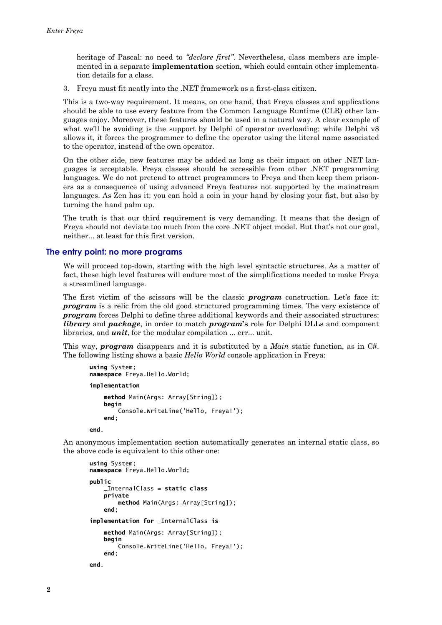<span id="page-1-0"></span>heritage of Pascal: no need to "declare first". Nevertheless, class members are implemented in a separate **implementation** section, which could contain other implementation details for a class.

3. Freva must fit neatly into the .NET framework as a first-class citizen.

This is a two-way requirement. It means, on one hand, that Freya classes and applications should be able to use every feature from the Common Language Runtime (CLR) other languages enjoy. Moreover, these features should be used in a natural way. A clear example of what we'll be avoiding is the support by Delphi of operator overloading: while Delphi v8 allows it, it forces the programmer to define the operator using the literal name associated to the operator, instead of the own operator.

On the other side, new features may be added as long as their impact on other .NET languages is acceptable. Freya classes should be accessible from other .NET programming languages. We do not pretend to attract programmers to Freya and then keep them prisoners as a consequence of using advanced Freya features not supported by the mainstream languages. As Zen has it: you can hold a coin in your hand by closing your fist, but also by turning the hand palm up.

The truth is that our third requirement is very demanding. It means that the design of Freva should not deviate too much from the core .NET object model. But that's not our goal, neither... at least for this first version.

#### The entry point: no more programs

We will proceed top-down, starting with the high level syntactic structures. As a matter of fact, these high level features will endure most of the simplifications needed to make Freva a streamlined language.

The first victim of the scissors will be the classic **program** construction. Let's face it: **program** is a relic from the old good structured programming times. The very existence of **program** forces Delphi to define three additional keywords and their associated structures: *library* and *package*, in order to match *program*'s role for Delphi DLLs and component libraries, and *unit*, for the modular compilation ... err... unit.

This way, **program** disappears and it is substituted by a *Main* static function, as in C#. The following listing shows a basic Hello World console application in Freya:

```
using System<sup>.</sup>
namespace Freya.Hello.World;
implementation
    method Main(Args: Array[String]);
    begin
        Console.WriteLine('Hello, Freya!');
    end:
```
end.

An anonymous implementation section automatically generates an internal static class, so the above code is equivalent to this other one:

```
using System:
namespace Freya.Hello.World;
nuhlic_InternalClass = static class
    private
        method Main(Args: Array[String]);
    and \cdotimplementation for _InternalClass is
    method Main(Args: Array[String]);
    begin
        Console.WriteLine('Hello, Freya!');
    end:
end.
```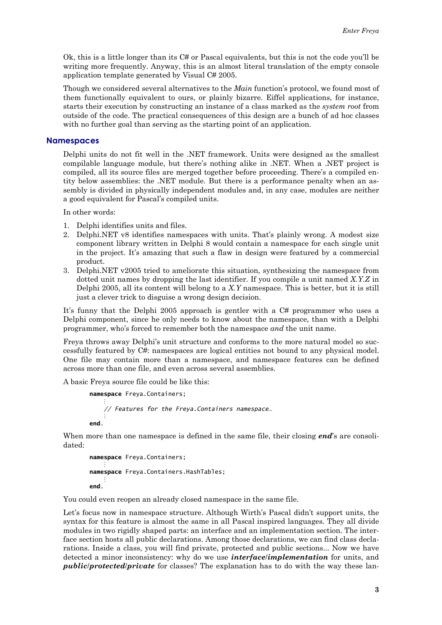<span id="page-2-0"></span>Ok, this is a little longer than its  $C#$  or Pascal equivalents, but this is not the code you'll be writing more frequently. Anyway, this is an almost literal translation of the empty console application template generated by Visual C# 2005.

Though we considered several alternatives to the *Main* function's protocol, we found most of them functionally equivalent to ours, or plainly bizarre. Eiffel applications, for instance, starts their execution by constructing an instance of a class marked as the *system root* from outside of the code. The practical consequences of this design are a bunch of ad hoc classes with no further goal than serving as the starting point of an application.

#### **Namespaces**

Delphi units do not fit well in the .NET framework. Units were designed as the smallest compilable language module, but there's nothing alike in .NET. When a .NET project is compiled, all its source files are merged together before proceeding. There's a compiled entity below assemblies: the .NET module. But there is a performance penalty when an assembly is divided in physically independent modules and, in any case, modules are neither a good equivalent for Pascal's compiled units.

In other words:

- 1. Delphi identifies units and files.
- 2. Delphi.NET v8 identifies namespaces with units. That's plainly wrong. A modest size component library written in Delphi 8 would contain a namespace for each single unit in the project. It's amazing that such a flaw in design were featured by a commercial product.
- 3. Delphi, NET v2005 tried to ameliorate this situation, synthesizing the namespace from dotted unit names by dropping the last identifier. If you compile a unit named  $X, Y, Z$  in Delphi 2005, all its content will belong to a  $X$ . Y namespace. This is better, but it is still just a clever trick to disguise a wrong design decision.

It's funny that the Delphi 2005 approach is gentler with a C# programmer who uses a Delphi component, since he only needs to know about the namespace, than with a Delphi programmer, who's forced to remember both the namespace and the unit name.

Freya throws away Delphi's unit structure and conforms to the more natural model so successfully featured by C#: namespaces are logical entities not bound to any physical model. One file may contain more than a namespace, and namespace features can be defined across more than one file, and even across several assemblies.

A basic Freya source file could be like this:

```
namespace Freya.Containers;
    // Features for the Freya. Containers namespace...
end
```
When more than one namespace is defined in the same file, their closing **end**'s are consolidated:

```
namespace Freya.Containers;
namespace Freya. Containers. HashTables;
end
```
You could even reopen an already closed namespace in the same file.

Let's focus now in namespace structure. Although Wirth's Pascal didn't support units, the syntax for this feature is almost the same in all Pascal inspired languages. They all divide modules in two rigidly shaped parts: an interface and an implementation section. The interface section hosts all public declarations. Among those declarations, we can find class declarations. Inside a class, you will find private, protected and public sections... Now we have detected a minor inconsistency: why do we use *interface/implementation* for units, and *public/protected/private* for classes? The explanation has to do with the way these lan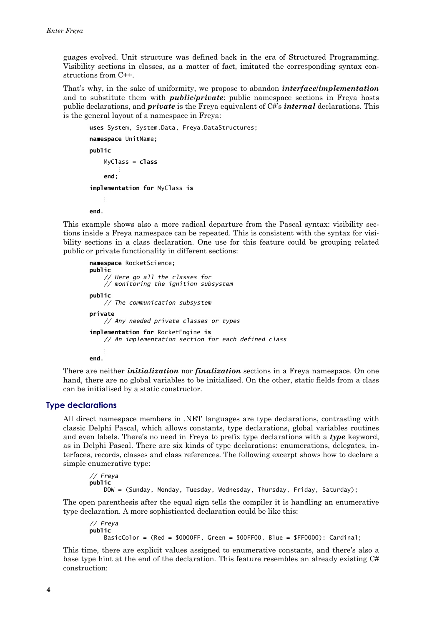<span id="page-3-0"></span>guages evolved. Unit structure was defined back in the era of Structured Programming. Visibility sections in classes, as a matter of fact, imitated the corresponding syntax constructions from  $C++$ .

That's why, in the sake of uniformity, we propose to abandon *interface/implementation* and to substitute them with *public/private*: public namespace sections in Freya hosts public declarations, and *private* is the Freya equivalent of C#'s *internal* declarations. This is the general layout of a namespace in Freya:

```
uses System, System.Data, Freya.DataStructures;
namespace UnitName;
public
    MyClass = classend<sub>1</sub>implementation for MyClass is
    \vdotsend
```
This example shows also a more radical departure from the Pascal syntax; visibility sections inside a Freva namespace can be repeated. This is consistent with the syntax for visibility sections in a class declaration. One use for this feature could be grouping related public or private functionality in different sections:

```
namespace RocketScience;
public
    // Here go all the classes for
    // monitoring the ignition subsystem
public
    // The communication subsystem
private
    // Any needed private classes or types
implementation for RocketEngine is
   // An implementation section for each defined class
end.
```
There are neither *initialization* nor *finalization* sections in a Freya namespace. On one hand, there are no global variables to be initialised. On the other, static fields from a class can be initialised by a static constructor.

#### **Type declarations**

All direct namespace members in .NET languages are type declarations, contrasting with classic Delphi Pascal, which allows constants, type declarations, global variables routines and even labels. There's no need in Freya to prefix type declarations with a type keyword, as in Delphi Pascal. There are six kinds of type declarations: enumerations, delegates, interfaces, records, classes and class references. The following excerpt shows how to declare a simple enumerative type:

// Freya public DOW = (Sunday, Monday, Tuesday, Wednesday, Thursday, Friday, Saturday);

The open parenthesis after the equal sign tells the compiler it is handling an enumerative type declaration. A more sophisticated declaration could be like this:

```
// Freva
public
   BasicColor = (Red = $0000FF, Green = $00FF00, Blue = $FF0000): Cardinal;
```
This time, there are explicit values assigned to enumerative constants, and there's also a base type hint at the end of the declaration. This feature resembles an already existing  $C#$ construction: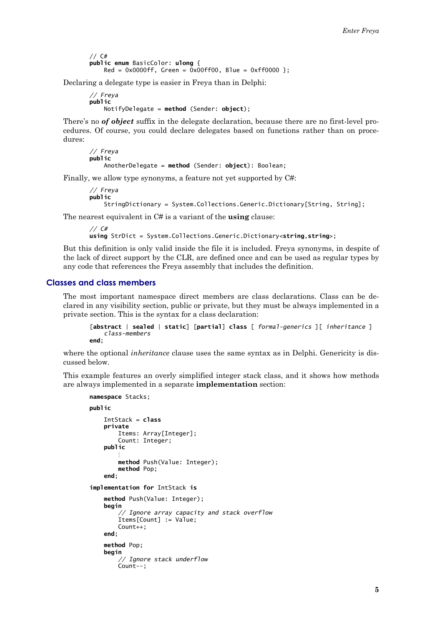$//$  C# public enum BasicColor: ulong {  $Red = 0x0000ff$ , Green = 0x00ff00, Blue = 0xff0000 };

<span id="page-4-0"></span>Declaring a delegate type is easier in Freya than in Delphi:

```
// Freva
publicNotifyDelegate = method (Sender: object);
```
There's no of object suffix in the delegate declaration, because there are no first-level procedures. Of course, you could declare delegates based on functions rather than on procedures:

```
// Freya
public
    AnotherDelegate = method (Sender: object): Boolean;
```
Finally, we allow type synonyms, a feature not yet supported by C#:

```
// Freya
public
   StringDictionary = System.Collections.Generic.Dictionary[String, String];
```
The nearest equivalent in C# is a variant of the **using** clause:

```
11 \text{ C#}using StrDict = System.Collections.Generic.Dictionary<string,string>;
```
But this definition is only valid inside the file it is included. Frey a synonyms, in despite of the lack of direct support by the CLR, are defined once and can be used as regular types by any code that references the Freya assembly that includes the definition.

#### **Classes and class members**

The most important namespace direct members are class declarations. Class can be declared in any visibility section, public or private, but they must be always implemented in a private section. This is the syntax for a class declaration:

```
[abstract | sealed | static] [partial] class [ formal-generics ][ inheritance ]
    class-members
and \cdot
```
where the optional *inheritance* clause uses the same syntax as in Delphi. Genericity is discussed below.

This example features an overly simplified integer stack class, and it shows how methods are always implemented in a separate **implementation** section:

```
namespace Stacks;
public
    IntStack = classprivate
        Items: Array[Integer];
        Count: Integer;
    public
        method Push(Value: Integer);
        method Pop:
    end<sub>1</sub>implementation for IntStack is
    method Push(Value: Integer);
    beain
        // Ignore array capacity and stack overflow
        Items[Count] := Value;Count++:
    end:
    method Pon:
    begin
         // Ignore stack underflow
        Count--;
```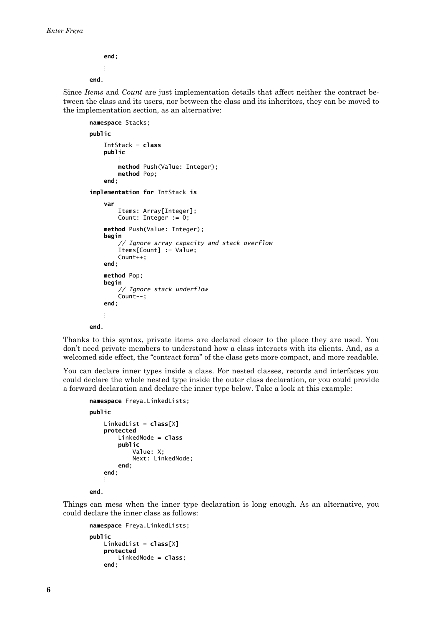```
end:
        \ddot{\cdot}end.
```
Since Items and Count are just implementation details that affect neither the contract between the class and its users, nor between the class and its inheritors, they can be moved to the implementation section, as an alternative:

```
namespace Stacks;
public
    IntStack = class
    public
        method Push(Value: Integer);
        method Pop;
    end;
implementation for IntStack is
    var
        Items: Array[Integer];
        Count: Integer := 0;method Push(Value: Integer);
    beain
         // Ignore array capacity and stack overflow
        Items[Count] := Value:Count++;
    end:
    method Pop:
    beain
        // Ignore stack underflow
        \overline{Count}--;
    end;
    \ddot{\cdot}end.
```
Thanks to this syntax, private items are declared closer to the place they are used. You don't need private members to understand how a class interacts with its clients. And, as a welcomed side effect, the "contract form" of the class gets more compact, and more readable.

You can declare inner types inside a class. For nested classes, records and interfaces you could declare the whole nested type inside the outer class declaration, or you could provide a forward declaration and declare the inner type below. Take a look at this example:

```
namespace Freya.LinkedLists;
public
    LinkedList = class[X]protected
        LinkedNode = classpublic
            Value: X:
            Next: LinkedNode;
        end:
    end;
    ÷
end.
```
Things can mess when the inner type declaration is long enough. As an alternative, you could declare the inner class as follows:

```
namespace Freya.LinkedLists;
public
   LinkedList = class[X]protected
       LinkedNode = class;end;
```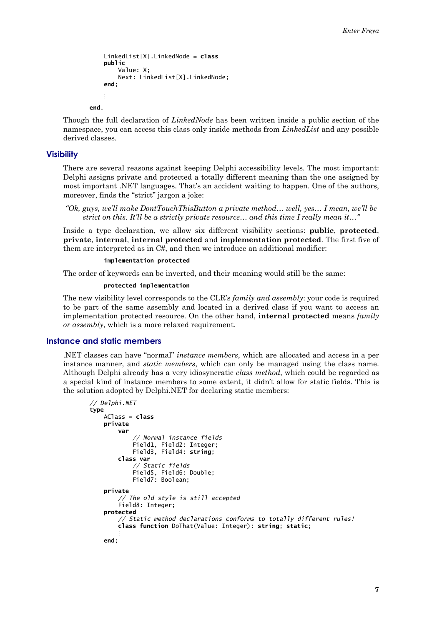```
LinkedList[X]. LinkedNode = class
nuhlicValue: X;
    Next: LinkedList[X].LinkedNode;
end<sub>1</sub>
```
end

Though the full declaration of *LinkedNode* has been written inside a public section of the namespace, you can access this class only inside methods from *Linked List* and any possible derived classes.

#### **Visibility**

There are several reasons against keeping Delphi accessibility levels. The most important: Delphi assigns private and protected a totally different meaning than the one assigned by most important .NET languages. That's an accident waiting to happen. One of the authors, moreover, finds the "strict" jargon a joke:

```
"Ok, guys, we'll make DontTouchThisButton a private method... well, yes... I mean, we'll be
     strict on this. It'll be a strictly private resource... and this time I really mean it..."
```
Inside a type declaration, we allow six different visibility sections: public, protected, private, internal, internal protected and implementation protected. The first five of them are interpreted as in C#, and then we introduce an additional modifier:

#### implementation protected

The order of keywords can be inverted, and their meaning would still be the same:

#### protected implementation

The new visibility level corresponds to the CLR's *family and assembly*; your code is required to be part of the same assembly and located in a derived class if you want to access an implementation protected resource. On the other hand, internal protected means family or assembly, which is a more relaxed requirement.

### Instance and static members

NET classes can have "normal" *instance members*, which are allocated and access in a per instance manner, and *static members*, which can only be managed using the class name. Although Delphi already has a very idiosyncratic class method, which could be regarded as a special kind of instance members to some extent, it didn't allow for static fields. This is the solution adopted by Delphi.NET for declaring static members:

```
// Delphi.NET
type
   AClass = classprivate
        var
             // Normal instance fields
            Field1, Field2: Integer;
            Field3, Field4: string;
        class var
             // Static fields
            Field5, Field6: Double;
            Field7: Boolean;
    private
        // The old style is still accepted<br>Field8: Integer;
    protected
        // Static method declarations conforms to totally different rules!
        class function DoThat(Value: Integer): string; static;
    end:
```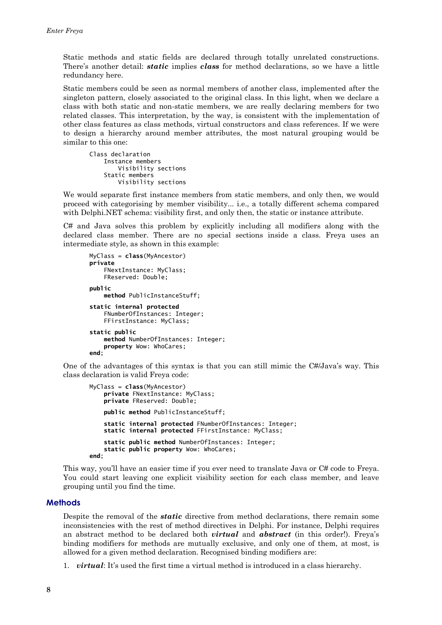<span id="page-7-0"></span>Static methods and static fields are declared through totally unrelated constructions. There's another detail: *static* implies *class* for method declarations, so we have a little redundancy here.

Static members could be seen as normal members of another class, implemented after the singleton pattern, closely associated to the original class. In this light, when we declare a class with both static and non-static members, we are really declaring members for two related classes. This interpretation, by the way, is consistent with the implementation of other class features as class methods, virtual constructors and class references. If we were to design a hierarchy around member attributes, the most natural grouping would be similar to this one:

```
Class declaration
   Instance members
        Visibility sections
    Static members
        Visibility sections
```
We would separate first instance members from static members, and only then, we would proceed with categorising by member visibility... i.e., a totally different schema compared with Delphi.NET schema: visibility first, and only then, the static or instance attribute.

 $C#$  and Java solves this problem by explicitly including all modifiers along with the declared class member. There are no special sections inside a class. Freya uses an intermediate style, as shown in this example:

```
MyClass = class(MyAncestor)
private
    FNextInstance: MyClass;
    FReserved: Double;
nuhlic
    method PublicInstanceStuff;
static internal protected
    FNumberOfInstances: Integer;
    FFirstInstance: MyClass;
static public
    method NumberOfInstances: Integer:
    property Wow: WhoCares:
end:
```
One of the advantages of this syntax is that you can still mimic the C#/Java's way. This class declaration is valid Freya code:

```
MyClass = class (MyAncestor)private FNextInstance: MyClass;
   private FReserved: Double;
   public method PublicInstanceStuff;
   static internal protected FNumberOfInstances: Integer;
    static internal protected FFirstInstance: MyClass;
   static public method NumberOfInstances: Integer:
    static public property Wow: WhoCares;
end ·
```
This way, you'll have an easier time if you ever need to translate Java or C# code to Freya. You could start leaving one explicit visibility section for each class member, and leave grouping until you find the time.

#### **Methods**

Despite the removal of the *static* directive from method declarations, there remain some inconsistencies with the rest of method directives in Delphi. For instance, Delphi requires an abstract method to be declared both *virtual* and *abstract* (in this order!). Freya's binding modifiers for methods are mutually exclusive, and only one of them, at most, is allowed for a given method declaration. Recognised binding modifiers are:

1. *virtual*: It's used the first time a virtual method is introduced in a class hierarchy.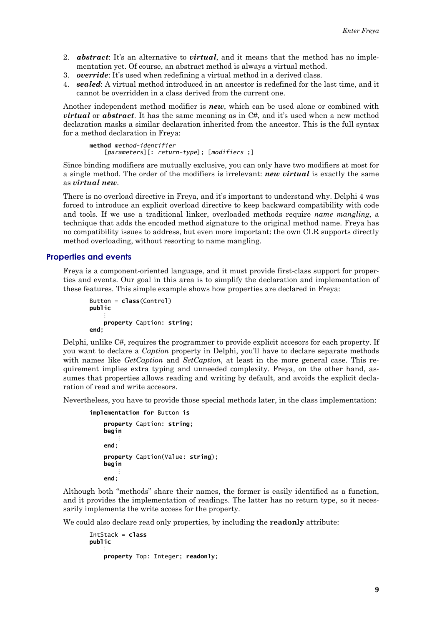- <span id="page-8-0"></span>2. **abstract**: It's an alternative to *virtual*, and it means that the method has no implementation yet. Of course, an abstract method is always a virtual method.
- 3. *override*: It's used when redefining a virtual method in a derived class.
- 4. **sealed:** A virtual method introduced in an ancestor is redefined for the last time, and it cannot be overridden in a class derived from the current one.

Another independent method modifier is **new**, which can be used alone or combined with *virtual* or *abstract*. It has the same meaning as in C#, and it's used when a new method declaration masks a similar declaration inherited from the ancestor. This is the full syntax for a method declaration in Freva:

```
method method-identifier
   [parameters][: return-type]; [modifiers ;]
```
Since binding modifiers are mutually exclusive, you can only have two modifiers at most for a single method. The order of the modifiers is irrelevant: **new virtual** is exactly the same as virtual new.

There is no overload directive in Freya, and it's important to understand why. Delphi 4 was forced to introduce an explicit overload directive to keep backward compatibility with code and tools. If we use a traditional linker, overloaded methods require name mangling, a technique that adds the encoded method signature to the original method name. Freva has no compatibility issues to address, but even more important; the own CLR supports directly method overloading, without resorting to name mangling.

## **Properties and events**

Freva is a component-oriented language, and it must provide first-class support for properties and events. Our goal in this area is to simplify the declaration and implementation of these features. This simple example shows how properties are declared in Freya:

```
Button = class(Control)
public
    property Caption: string;
end:
```
Delphi, unlike C#, requires the programmer to provide explicit accesors for each property. If you want to declare a *Caption* property in Delphi, you'll have to declare separate methods with names like GetCaption and SetCaption, at least in the more general case. This requirement implies extra typing and unneeded complexity. Freya, on the other hand, assumes that properties allows reading and writing by default, and avoids the explicit declaration of read and write accesors.

Nevertheless, you have to provide those special methods later, in the class implementation:

```
implementation for Button is
    property Caption: string;
    begin
         \ddot{\cdot}end:
    property Caption(Value: string);
    begin
         \ddot{\cdot}end:
```
Although both "methods" share their names, the former is easily identified as a function, and it provides the implementation of readings. The latter has no return type, so it necessarily implements the write access for the property.

We could also declare read only properties, by including the **readonly** attribute:

```
IntStack = classpublic
   property Top: Integer; readonly;
```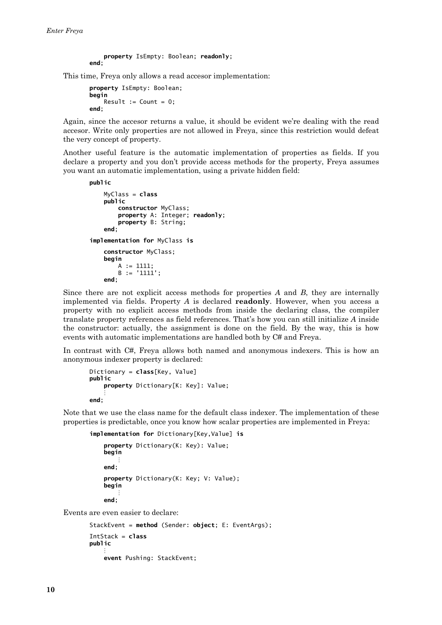```
property IsEmpty: Boolean; readonly;
end:
```
This time, Freya only allows a read accesor implementation:

```
property IsEmpty: Boolean;
begin
   Result := Count = 0;
end:
```
Again, since the accesor returns a value, it should be evident we're dealing with the read accesor. Write only properties are not allowed in Freya, since this restriction would defeat the very concept of property.

Another useful feature is the automatic implementation of properties as fields. If you declare a property and you don't provide access methods for the property, Freya assumes you want an automatic implementation, using a private hidden field:

```
public
```

```
MvClass = class
    public
        constructor MyClass;
        property A: Integer; readonly;
        property B: String;
    end:
implementation for MyClass is
    constructor MyClass;
    beain
        A := 1111;B := '1111';
    end<sub>1</sub>
```
Since there are not explicit access methods for properties  $A$  and  $B$ , they are internally implemented via fields. Property  $A$  is declared **readonly**. However, when you access a property with no explicit access methods from inside the declaring class, the compiler translate property references as field references. That's how you can still initialize A inside the constructor: actually, the assignment is done on the field. By the way, this is how events with automatic implementations are handled both by C# and Freya.

In contrast with C#, Freya allows both named and anonymous indexers. This is how an anonymous indexer property is declared:

```
Dictionary = class[Key, Value]
public
    property Dictionary[K: Key]: Value;
end;
```
Note that we use the class name for the default class indexer. The implementation of these properties is predictable, once you know how scalar properties are implemented in Freya:

```
implementation for Dictionary[Key, Value] is
    property Dictionary(K: Key): Value;
   begin
    end;
    property Dictionary(K: Key; V: Value);
    beain
    end;
```
Events are even easier to declare:

```
StackEvent = method (Sender: object; E: EventArgs);
IntStack = class
public
    event Pushing: StackEvent;
```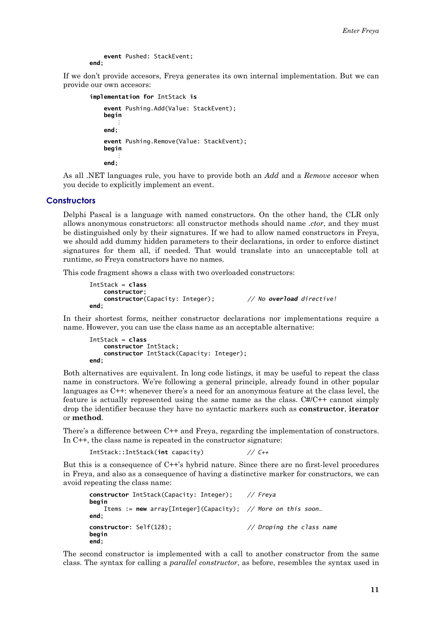event Pushed: StackEvent;  $end<sub>1</sub>$ 

<span id="page-10-0"></span>If we don't provide accesors, Freya generates its own internal implementation. But we can provide our own accesors:

```
implementation for IntStack is
    event Pushing.Add(Value: StackEvent);
    beain
        ÷
    end:
    event Pushing.Remove(Value: StackEvent);
   begin
        ÷
    end:
```
As all .NET languages rule, you have to provide both an *Add* and a *Remove* accesor when you decide to explicitly implement an event.

## **Constructors**

Delphi Pascal is a language with named constructors. On the other hand, the CLR only allows anonymous constructors: all constructor methods should name .ctor, and they must be distinguished only by their signatures. If we had to allow named constructors in Freva. we should add dummy hidden parameters to their declarations, in order to enforce distinct signatures for them all, if needed. That would translate into an unacceptable toll at runtime, so Freya constructors have no names.

This code fragment shows a class with two overloaded constructors:

```
IntStack = classconstructor:
   constructor(Capacity: Integer);
                                           // No overload directive!
and
```
In their shortest forms, neither constructor declarations nor implementations require a name. However, you can use the class name as an acceptable alternative:

```
IntStack = classconstructor IntStack;
   constructor IntStack(Capacity: Integer);
end:
```
Both alternatives are equivalent. In long code listings, it may be useful to repeat the class name in constructors. We're following a general principle, already found in other popular languages as C++: whenever there's a need for an anonymous feature at the class level, the feature is actually represented using the same name as the class. C#/C++ cannot simply drop the identifier because they have no syntactic markers such as constructor, iterator or method.

There's a difference between C++ and Freya, regarding the implementation of constructors. In  $C++$ , the class name is repeated in the constructor signature:

IntStack::IntStack(int capacity)  $11.7 +$ 

But this is a consequence of C++'s hybrid nature. Since there are no first-level procedures in Freya, and also as a consequence of having a distinctive marker for constructors, we can avoid repeating the class name:

```
constructor IntStack(Capacity: Integer);
                                            // Freya
begin
   Items := new array[Integer](Capacity); // More on this soon...
end:
constructor: Self(128);
                                            // Droping the class name
begin
end:
```
The second constructor is implemented with a call to another constructor from the same class. The syntax for calling a *parallel constructor*, as before, resembles the syntax used in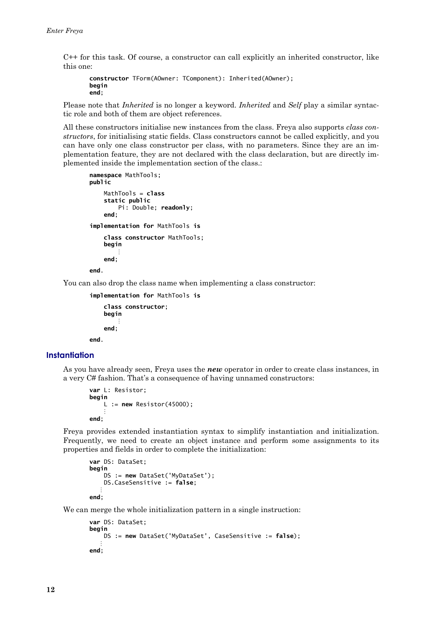<span id="page-11-0"></span>C++ for this task. Of course, a constructor can call explicitly an inherited constructor, like this one:

```
constructor TForm(A0wner: TComponent): Inherited(A0wner);
begin
end;
```
Please note that *Inherited* is no longer a keyword. *Inherited* and *Self* play a similar syntactic role and both of them are object references.

All these constructors initialise new instances from the class. Freva also supports class constructors, for initialising static fields. Class constructors cannot be called explicitly, and you can have only one class constructor per class, with no parameters. Since they are an implementation feature, they are not declared with the class declaration, but are directly implemented inside the implementation section of the class.:

```
namespace MathTools;
public
    MathTools = class
    static public
        Pi: Double; readonly;
    end<sub>1</sub>implementation for MathTools is
    class constructor MathTools;
    beain
    end:
end.
```
You can also drop the class name when implementing a class constructor:

```
implementation for MathTools is
    class constructor:
    begin
         \ddot{\cdot}end;
end.
```
**Instantiation** 

As you have already seen, Freya uses the new operator in order to create class instances, in a very C# fashion. That's a consequence of having unnamed constructors:

```
var L: Resistor;
begin
    L := new Restistor(45000):
end;
```
Freya provides extended instantiation syntax to simplify instantiation and initialization. Frequently, we need to create an object instance and perform some assignments to its properties and fields in order to complete the initialization:

```
var DS: DataSet;
begin
    DS := new DataSet('MyDataSet');
   DS.CaseSensitive := false;
end:
```
We can merge the whole initialization pattern in a single instruction:

```
var DS: DataSet:
beain
   DS := new DataSet('MyDataSet', CaseSensitive := false);
end:
```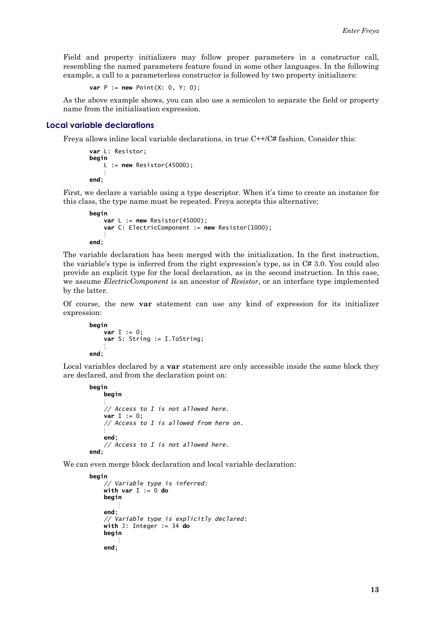<span id="page-12-0"></span>Field and property initializers may follow proper parameters in a constructor call, resembling the named parameters feature found in some other languages. In the following example, a call to a parameterless constructor is followed by two property initializers:

**var**  $P := new Point(X: 0, Y: 0)$ ;

As the above example shows, you can also use a semicolon to separate the field or property name from the initialisation expression.

## Local variable declarations

Freva allows inline local variable declarations, in true  $C++/C#$  fashion. Consider this:

```
var L: Resistor;
begin
   L := new Restistor(45000);end:
```
First, we declare a variable using a type descriptor. When it's time to create an instance for this class, the type name must be repeated. Freya accepts this alternative:

```
begin
    var L := new Restistor(45000);var C: ElectricComponent := new Resistor(1000);
end:
```
The variable declaration has been merged with the initialization. In the first instruction, the variable's type is inferred from the right expression's type, as in  $C# 3.0$ . You could also provide an explicit type for the local declaration, as in the second instruction. In this case, we assume *ElectricComponent* is an ancestor of *Resistor*, or an interface type implemented by the latter.

Of course, the new var statement can use any kind of expression for its initializer expression:

```
begin
    var T := 0:
    var S: String := I.ToString;end;
```
Local variables declared by a var statement are only accessible inside the same block they are declared, and from the declaration point on:

```
begin
   begin
    // Access to I is not allowed here.
   var I := 0;
    // Access to I is allowed from here on.
    and// Access to I is not allowed here.
end:
```
We can even merge block declaration and local variable declaration:

```
begin
    // Variable type is inferred:
    with var I := 0 do
    begin
    end:
    // Variable type is explicitly declared:
    with J: Integer := 34 do
    begin
    end;
```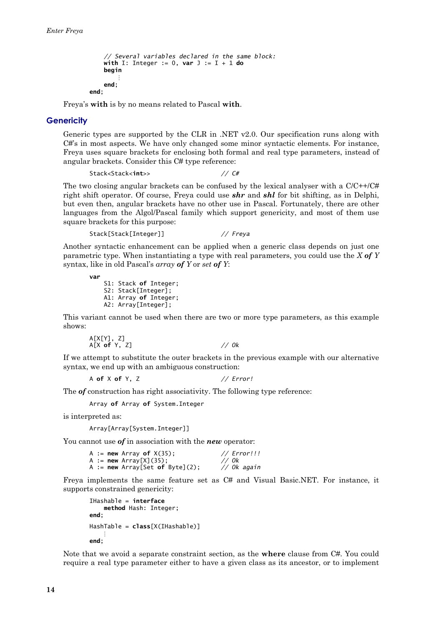```
// Several variables declared in the same block:
    with I: Integer := 0, var J := I + 1 do
    begin
        ÷
    end<sub>1</sub>end:
```
Freya's with is by no means related to Pascal with.

#### **Genericity**

Generic types are supported by the CLR in .NET  $v2.0$ . Our specification runs along with  $C\#$ 's in most aspects. We have only changed some minor syntactic elements. For instance, Freva uses square brackets for enclosing both formal and real type parameters, instead of angular brackets. Consider this C# type reference:

Stack<Stack<int>>  $11 \text{ C#}$ 

The two closing angular brackets can be confused by the lexical analyser with a  $C/C++/CH$ right shift operator. Of course, Freya could use **shr** and **shl** for bit shifting, as in Delphi, but even then, angular brackets have no other use in Pascal. Fortunately, there are other languages from the Algol/Pascal family which support genericity, and most of them use square brackets for this purpose:

```
Stack[Stack[Integer]]
                                     // Freva
```
Another syntactic enhancement can be applied when a generic class depends on just one parametric type. When instantiating a type with real parameters, you could use the  $X$  of  $Y$ syntax, like in old Pascal's *array* of Y or set of Y:

var S1: Stack of Integer;

```
S2: Stack[Integer];
A1: Array of Integer;
A2: Array[Integer];
```
This variant cannot be used when there are two or more type parameters, as this example shows:

A[X[Y], Z]<br>A[X **of** Y, Z]  $// *Ok*$ 

If we attempt to substitute the outer brackets in the previous example with our alternative syntax, we end up with an ambiguous construction:

A of X of Y. Z  $// Error!$ 

The *of* construction has right associativity. The following type reference:

Array of Array of System. Integer

is interpreted as:

Array[Array[System.Integer]]

You cannot use  $of$  in association with the *new* operator:

| A := <b>new</b> Array of $X(35)$ :     | // Error!!! |
|----------------------------------------|-------------|
| A := <b>new</b> $Array[X](35)$ ;       | // Ok       |
| A := <b>new</b> Array[Set of Byte](2); | // Ok again |

Freya implements the same feature set as C# and Visual Basic.NET. For instance, it supports constrained genericity:

```
IHashable = interfracmethod Hash: Integer;
end·HashTable = class[X(IHashable)]
end:
```
Note that we avoid a separate constraint section, as the **where** clause from C#. You could require a real type parameter either to have a given class as its ancestor, or to implement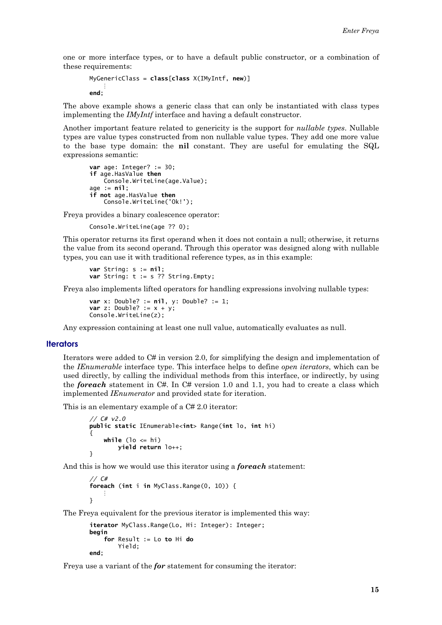<span id="page-14-0"></span>one or more interface types, or to have a default public constructor, or a combination of these requirements:

```
MyGeneratorClass = class[class X(IMyIntf, new)]÷
end:
```
The above example shows a generic class that can only be instantiated with class types implementing the *IMyIntf* interface and having a default constructor.

Another important feature related to genericity is the support for *nullable types*. Nullable types are value types constructed from non nullable value types. They add one more value to the base type domain: the nil constant. They are useful for emulating the SQL expressions semantic:

```
var age: Integer? := 30;
if age.HasValue then
   Console.WriteLine(age.Value);
age := nil;if not age.HasValue then
   Console.WriteLine('Ok!');
```
Freya provides a binary coalescence operator:

Console.WriteLine(age ?? 0):

This operator returns its first operand when it does not contain a null; otherwise, it returns the value from its second operand. Through this operator was designed along with nullable types, you can use it with traditional reference types, as in this example:

var String:  $s := nil$ : var String:  $t := s$  ?? String. Empty;

Freva also implements lifted operators for handling expressions involving nullable types:

```
var x: Double? := nil, y: Double? := 1;var z: Double? := x + y;
Console.WriteLine(z);
```
Any expression containing at least one null value, automatically evaluates as null.

#### **Iterators**

Iterators were added to  $C#$  in version 2.0, for simplifying the design and implementation of the *IEnumerable* interface type. This interface helps to define open *iterators*, which can be used directly, by calling the individual methods from this interface, or indirectly, by using the **foreach** statement in  $C#$ . In  $C#$  version 1.0 and 1.1, you had to create a class which implemented *IEnumerator* and provided state for iteration.

This is an elementary example of a C# 2.0 iterator:

```
// C# v2.0public static IEnumerable<int> Range(int lo, int hi)
ł
    while (lo \leq hi)
        yield return lo++;
ι
```
And this is how we would use this iterator using a **foreach** statement:

```
1/CEforeach (int i in MyClass.Range(0, 10)) {
ł
```
The Freva equivalent for the previous iterator is implemented this way:

```
iterator MyClass.Range(Lo, Hi: Integer): Integer;
begin
   for Result := Lo to Hi do
        Yield:
end:
```
Freya use a variant of the *for* statement for consuming the iterator: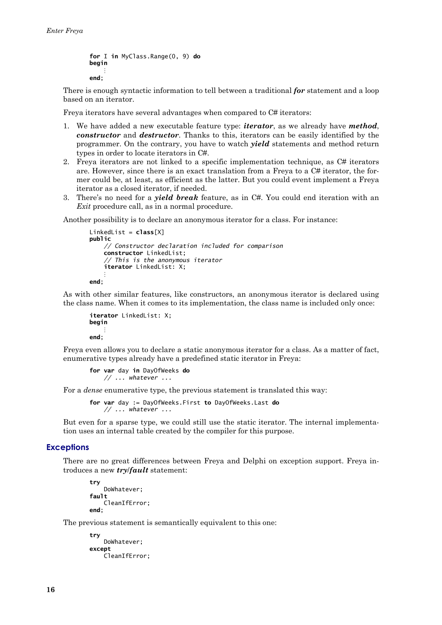```
for I in MyClass.Range(0, 9) do
beain
    \vdotsend:
```
There is enough syntactic information to tell between a traditional for statement and a loop based on an iterator.

Freva iterators have several advantages when compared to C# iterators:

- 1. We have added a new executable feature type: *iterator*, as we already have *method*, constructor and destructor. Thanks to this, iterators can be easily identified by the programmer. On the contrary, you have to watch *yield* statements and method return types in order to locate iterators in C#.
- 2. Freya iterators are not linked to a specific implementation technique, as C# iterators are. However, since there is an exact translation from a Freya to a  $C#$  iterator, the former could be, at least, as efficient as the latter. But you could event implement a Freva iterator as a closed iterator, if needed.
- 3. There's no need for a *yield break* feature, as in C#. You could end iteration with an *Exit* procedure call, as in a normal procedure.

Another possibility is to declare an anonymous iterator for a class. For instance:

```
LinkedList = class[X]public
    // Constructor declaration included for comparison
    constructor LinkedList:
    // This is the anonymous iterator
    iterator LinkedList: X;
end<sub>1</sub>
```
As with other similar features, like constructors, an anonymous iterator is declared using the class name. When it comes to its implementation, the class name is included only once:

```
iterator LinkedList: X:
begin
    \ddot{\cdot}end:
```
Freya even allows you to declare a static anonymous iterator for a class. As a matter of fact, enumerative types already have a predefined static iterator in Freya:

```
for var day in DayOfWeeks do
   // ... whatever ...
```
For a *dense* enumerative type, the previous statement is translated this way:

for var day := DayOfWeeks. First to DayOfWeeks. Last do  $// \dots$  whatever  $\dots$ 

But even for a sparse type, we could still use the static iterator. The internal implementation uses an internal table created by the compiler for this purpose.

#### **Exceptions**

There are no great differences between Freya and Delphi on exception support. Freya introduces a new *try/fault* statement:

```
try
    DoWhatever;
fault
    CleanIfError:
end:
```
The previous statement is semantically equivalent to this one:

```
try
   DoWhatever:
except
    CleanIfError;
```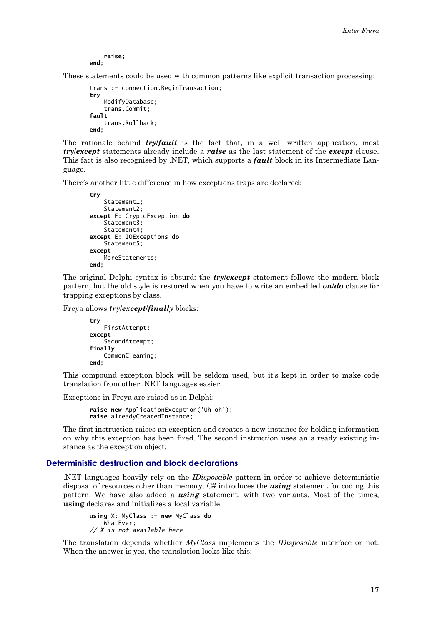raise: end:

<span id="page-16-0"></span>These statements could be used with common patterns like explicit transaction processing:

```
trans := connection.BeginTransaction;
try
   ModifyDatabase;
   trans.Commit;
fault
   trans.Rollback;
end:
```
The rationale behind *try/fault* is the fact that, in a well written application, most *trylexcept* statements already include a *raise* as the last statement of the *except* clause. This fact is also recognised by .NET, which supports a *fault* block in its Intermediate Language.

There's another little difference in how exceptions traps are declared:

```
Statement1;
   Statement2:
except E: CryptoException do
   Statement3;
   Statement4;
except E: IOExceptions do
   Statement5;
excent
   MoreStatements;
end:
```
The original Delphi syntax is absurd: the **try/except** statement follows the modern block pattern, but the old style is restored when you have to write an embedded  $on/do$  clause for trapping exceptions by class.

Freya allows *try/except/finally* blocks:

```
try
   FirstAttempt;
except
    SecondAttempt;
finally
    CommonCleaning;
end;
```
This compound exception block will be seldom used, but it's kept in order to make code translation from other .NET languages easier.

Exceptions in Freya are raised as in Delphi:

raise new ApplicationException('Uh-oh'); raise alreadyCreatedInstance;

The first instruction raises an exception and creates a new instance for holding information on why this exception has been fired. The second instruction uses an already existing instance as the exception object.

## Deterministic destruction and block declarations

NET languages heavily rely on the *IDisposable* pattern in order to achieve deterministic disposal of resources other than memory. C# introduces the *using* statement for coding this pattern. We have also added a **using** statement, with two variants. Most of the times, **using** declares and initializes a local variable

```
using X: MyClass := new MyClass do
   WhatEver;
// X is not available here
```
The translation depends whether MyClass implements the IDisposable interface or not. When the answer is yes, the translation looks like this: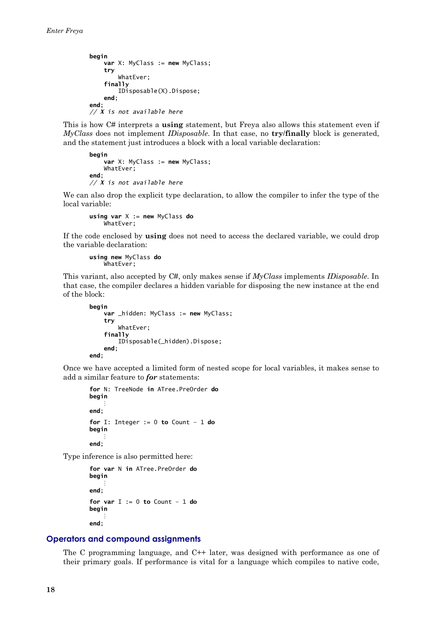```
begin
    var X: MvClass := new MvClass:try
        WhatEver;
    finally
        IDisposable(X).Dispose;
    end:
and// X is not available here
```
This is how C# interprets a **using** statement, but Freya also allows this statement even if MyClass does not implement *IDisposable*. In that case, no try/finally block is generated, and the statement just introduces a block with a local variable declaration:

```
heain
    var X: MyClass := new MyClass;
    WhatEver:
end:
// \hat{x} is not available here
```
We can also drop the explicit type declaration, to allow the compiler to infer the type of the local variable:

```
using var X := new MyClass doWhatEver:
```
If the code enclosed by **using** does not need to access the declared variable, we could drop the variable declaration:

using new MyClass do WhatEver;

This variant, also accepted by  $C#$ , only makes sense if  $MyClass$  implements *IDisposable*. In that case, the compiler declares a hidden variable for disposing the new instance at the end of the block:

```
beain
    var _hidden: MyClass := new MyClass;
    try
        WhatEver:
    finally
        IDisposable(_hidden).Dispose;
    end:
end:
```
Once we have accepted a limited form of nested scope for local variables, it makes sense to add a similar feature to for statements:

```
for N: TreeNode in ATree.PreOrder do
begin
end;
for I: Integer := 0 to Count - 1 do
begin
end:
```
Type inference is also permitted here:

```
for var N in ATree. PreOrder do
begin
    ÷
end:
for var I := 0 to Count - 1 do
begin
end;
```
## **Operators and compound assignments**

The C programming language, and  $C++$  later, was designed with performance as one of their primary goals. If performance is vital for a language which compiles to native code,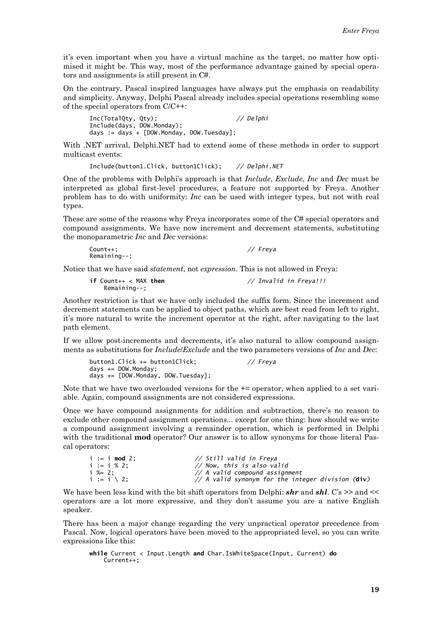it's even important when you have a virtual machine as the target, no matter how optimised it might be. This way, most of the performance advantage gained by special operators and assignments is still present in C#.

On the contrary, Pascal inspired languages have always put the emphasis on readability and simplicity. Anyway, Delphi Pascal already includes special operations resembling some of the special operators from  $C/C++$ :

 $//$  Delphi Inc(TotalQty, Qty); Include(days, DOW.Monday); days := days + [DOW.Monday, DOW.Tuesday];

With .NET arrival, Delphi.NET had to extend some of these methods in order to support multicast events:

Include(button1.Click, button1Click); // Delphi.NET

One of the problems with Delphi's approach is that *Include, Exclude, Inc* and *Dec* must be interpreted as global first-level procedures, a feature not supported by Freya. Another problem has to do with uniformity: Inc can be used with integer types, but not with real types.

These are some of the reasons why Freva incorporates some of the C# special operators and compound assignments. We have now increment and decrement statements, substituting the monoparametric Inc and Dec versions:

| $Count++$ :    | // Freya |
|----------------|----------|
| $Remaining--;$ |          |

Notice that we have said *statement*, not *expression*. This is not allowed in Freva:

| if $Count++ < MAX$ then | // Invalid in Freya!!! |
|-------------------------|------------------------|
| Remaining--;            |                        |

Another restriction is that we have only included the suffix form. Since the increment and decrement statements can be applied to object paths, which are best read from left to right, it's more natural to write the increment operator at the right, after navigating to the last path element.

If we allow post-increments and decrements, it's also natural to allow compound assignments as substitutions for *Include/Exclude* and the two parameters versions of *Inc* and *Dec*:

button1.Click += button1Click; // Freya days  $+=$  DOW. Monday; days += [DOW Monday, DOW Tuesday];

Note that we have two overloaded versions for the  $+=$  operator, when applied to a set variable. Again, compound assignments are not considered expressions.

Once we have compound assignments for addition and subtraction, there's no reason to exclude other compound assignment operations... except for one thing: how should we write a compound assignment involving a remainder operation, which is performed in Delphi with the traditional **mod** operator? Our answer is to allow synonyms for those literal Pascal operators:

| $i := i \mod 2$ ;      | // Still valid in Freya                           |
|------------------------|---------------------------------------------------|
| $i := i \times 2$ :    | // Now, this is also valid                        |
| $i \approx 2$ :        | $\frac{1}{4}$ A valid compound assignment         |
| $i := i \setminus 2$ : | // A valid synonym for the integer division (div) |

We have been less kind with the bit shift operators from Delphi:  $\boldsymbol{shr}$  and  $\boldsymbol{shl}$ . C's  $\geq$  and  $\lt$ operators are a lot more expressive, and they don't assume you are a native English speaker.

There has been a major change regarding the very unpractical operator precedence from Pascal. Now, logical operators have been moved to the appropriated level, so you can write expressions like this:

```
while Current < Input.Length and Char.IsWhiteSpace(Input, Current) do
   Current++;
```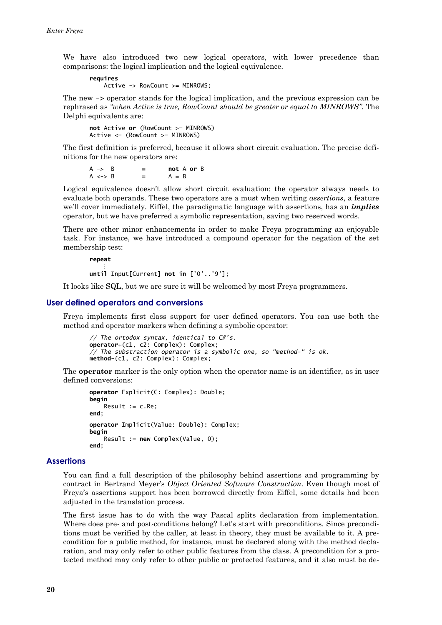<span id="page-19-0"></span>We have also introduced two new logical operators, with lower precedence than comparisons: the logical implication and the logical equivalence.

reauires Active -> RowCount >= MINROWS;

The new -> operator stands for the logical implication, and the previous expression can be rephrased as "when Active is true, RowCount should be greater or equal to MINROWS". The Delphi equivalents are:

not Active or (RowCount  $>=$  MINROWS)  $Active \leq (RowCount \geq MINROWS)$ 

The first definition is preferred, because it allows short circuit evaluation. The precise definitions for the new operators are:

 $A \rightarrow B$  $\equiv$ not A or B  $A \le -\ge B$  $\equiv$  $A = B$ 

Logical equivalence doesn't allow short circuit evaluation: the operator always needs to evaluate both operands. These two operators are a must when writing *assertions*, a feature we'll cover immediately. Eiffel, the paradigmatic language with assertions, has an *implies* operator, but we have preferred a symbolic representation, saving two reserved words.

There are other minor enhancements in order to make Freya programming an enjoyable task. For instance, we have introduced a compound operator for the negation of the set membership test:

repeat

until Input [Current] not in  $[0', 0']$ ;

It looks like SQL, but we are sure it will be welcomed by most Freya programmers.

#### User defined operators and conversions

Freva implements first class support for user defined operators. You can use both the method and operator markers when defining a symbolic operator:

```
// The ortodox syntax, identical to C#'s.<br>operator+(c1, c2: Complex): Complex;
// The substraction operator is a symbolic one, so "method-" is ok.
method-(c1, c2: Complex): Complex;
```
The **operator** marker is the only option when the operator name is an identifier, as in user defined conversions:

```
operator Explicit(C: Complex): Double;
begin
   Result := c-Reend;
operator Implicit(Value: Double): Complex;
begin
   Result := new Complex(Value, 0);
end:
```
#### **Assertions**

You can find a full description of the philosophy behind assertions and programming by contract in Bertrand Meyer's Object Oriented Software Construction. Even though most of Freya's assertions support has been borrowed directly from Eiffel, some details had been adjusted in the translation process.

The first issue has to do with the way Pascal splits declaration from implementation. Where does pre- and post-conditions belong? Let's start with preconditions. Since preconditions must be verified by the caller, at least in theory, they must be available to it. A precondition for a public method, for instance, must be declared along with the method declaration, and may only refer to other public features from the class. A precondition for a protected method may only refer to other public or protected features, and it also must be de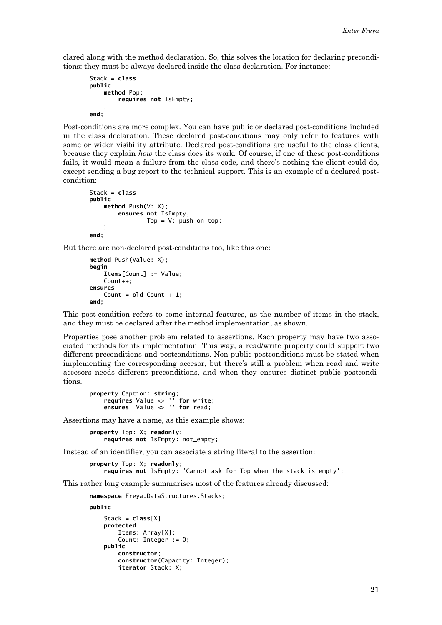clared along with the method declaration. So, this solves the location for declaring preconditions: they must be always declared inside the class declaration. For instance:

```
Stack = classpublic
   method Pop;
        requires not IsEmpty;
end:
```
Post-conditions are more complex. You can have public or declared post-conditions included in the class declaration. These declared post-conditions may only refer to features with same or wider visibility attribute. Declared post-conditions are useful to the class clients, because they explain *how* the class does its work. Of course, if one of these post-conditions fails, it would mean a failure from the class code, and there's nothing the client could do. except sending a bug report to the technical support. This is an example of a declared postcondition:

```
Stack = classpublic
   method Push(V: X):
        ensures not IsEmpty,
                Top = V: push\_on\_top;end:
```
But there are non-declared post-conditions too, like this one:

```
method Push(Value: X);
beain
   Items[Count] := Value:
    Count++;
ensures
    Count = old Count + 1;
end;
```
This post-condition refers to some internal features, as the number of items in the stack, and they must be declared after the method implementation, as shown.

Properties pose another problem related to assertions. Each property may have two associated methods for its implementation. This way, a read/write property could support two different preconditions and postconditions. Non public postconditions must be stated when implementing the corresponding accesor, but there's still a problem when read and write accesors needs different preconditions, and when they ensures distinct public postconditions.

```
property Caption: string;
      requires Value \leftrightarrow " for write<br>ensures Value \leftrightarrow " for read;
                                              for write:
```
Assertions may have a name, as this example shows:

property Top: X: readonly: requires not IsEmpty: not\_empty;

Instead of an identifier, you can associate a string literal to the assertion:

```
property Top: X; readonly;
   requires not IsEmpty: 'Cannot ask for Top when the stack is empty';
```
This rather long example summarises most of the features already discussed:

namespace Freya.DataStructures.Stacks;

nuhlic

```
Stack = class[X]protected
    Items: Array[X]:
    Count: Integer := 0;
public
    constructor;
    constructor(Capacity: Integer);
    iterator Stack: X;
```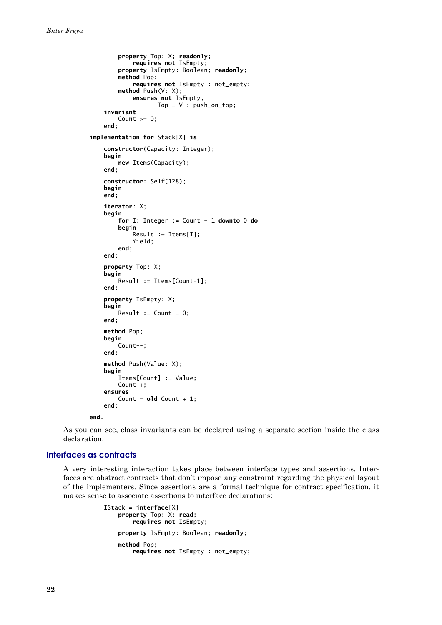```
property Top: X; readonly;
            requires not IsEmpty;
        property IsEmpty: Boolean; readonly;
        method Pop;
            requires not IsEmpty : not_empty;
        method Push(V: X);
            ensures not IsEmpty,
                   Top = V : push\_on\_top;invariant
        Count >= 0:
   end:
implementation for Stack[X] is
   constructor(Capacity: Integer);
   begin
        new Items(Capacity):
   end<sub>1</sub>constructor: Self(128);
   begin
   end;
    iterator: X:
   begin
        for I: Integer := Count - 1 downto 0 do
        begin
            Result := Items[I];Yield;
        end:
   end:
   property Top: X:
   begin
        Result := Items[Count-1];
   end;
   property IsEmpty: X;
   begin
        Result := Count = 0;
   end:
   method Pop:
   begin
        Count--;
   end:
   method Push(Value: X);
   beain
        Items[Count] := Value;
        Count++;
    ensures
        Count = \textbf{old} Count + 1;
    end;
```
end.

As you can see, class invariants can be declared using a separate section inside the class declaration.

#### Interfaces as contracts

A very interesting interaction takes place between interface types and assertions. Interfaces are abstract contracts that don't impose any constraint regarding the physical layout of the implementers. Since assertions are a formal technique for contract specification, it makes sense to associate assertions to interface declarations:

```
IStack = interface[X]property Top: X; read;
        requires not IsEmpty;
    property IsEmpty: Boolean; readonly;
    method Pon:
        requires not IsEmpty : not_empty;
```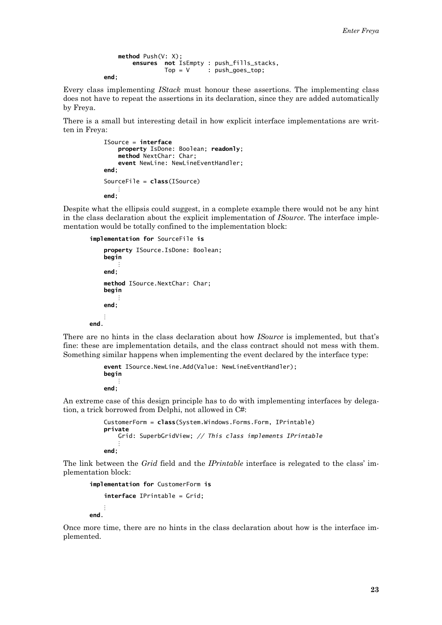```
method Push(V: X):
   ensures not IsEmpty : push fills stacks.
             Top = V: push_goes_top;
```
end;

Every class implementing IStack must honour these assertions. The implementing class does not have to repeat the assertions in its declaration, since they are added automatically by Freya.

There is a small but interesting detail in how explicit interface implementations are written in Freva:

```
ISource = interface
    property IsDone: Boolean; readonly;
    method NextChar: Char;
    event NewLine: NewLineEventHandler;
end<sup>1</sup>SourceFile = class(Isource)end:
```
Despite what the ellipsis could suggest, in a complete example there would not be any hint in the class declaration about the explicit implementation of *ISource*. The interface implementation would be totally confined to the implementation block:

```
implementation for SourceFile is
    property ISource. IsDone: Boolean:
   begin
    end:method ISource.NextChar: Char:
   heain
    end:
And
```
There are no hints in the class declaration about how *ISource* is implemented, but that's fine: these are implementation details, and the class contract should not mess with them. Something similar happens when implementing the event declared by the interface type:

```
event ISource.NewLine.Add(Value: NewLineEventHandler);
begin
end:
```
An extreme case of this design principle has to do with implementing interfaces by delegation, a trick borrowed from Delphi, not allowed in C#:

```
CustomerForm = class(System.Windows.Forms.Form, IPrintable)
private
    Grid: SuperbGridView; // This class implements IPrintable
end:
```
The link between the Grid field and the IPrintable interface is relegated to the class' implementation block:

```
implementation for CustomerForm is
    interface IPrintable = Grid;
hne
```
Once more time, there are no hints in the class declaration about how is the interface implemented.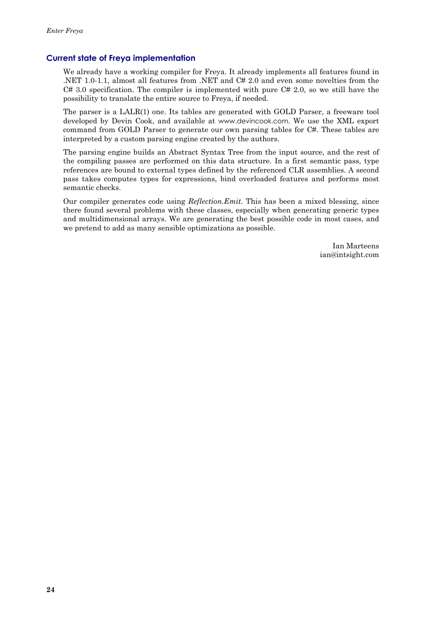## <span id="page-23-0"></span>**Current state of Freya implementation**

We already have a working compiler for Freya. It already implements all features found in .NET 1.0-1.1, almost all features from .NET and  $C# 2.0$  and even some novelties from the  $C# 3.0$  specification. The compiler is implemented with pure  $C# 2.0$ , so we still have the possibility to translate the entire source to Freya, if needed.

The parser is a LALR(1) one. Its tables are generated with GOLD Parser, a freeware tool developed by Devin Cook, and available at www.devincook.com. We use the XML export command from GOLD Parser to generate our own parsing tables for C#. These tables are interpreted by a custom parsing engine created by the authors.

The parsing engine builds an Abstract Syntax Tree from the input source, and the rest of the compiling passes are performed on this data structure. In a first semantic pass, type references are bound to external types defined by the referenced CLR assemblies. A second pass takes computes types for expressions, bind overloaded features and performs most semantic checks.

Our compiler generates code using *Reflection.Emit.* This has been a mixed blessing, since there found several problems with these classes, especially when generating generic types and multidimensional arrays. We are generating the best possible code in most cases, and we pretend to add as many sensible optimizations as possible.

> Ian Marteens ian@intsight.com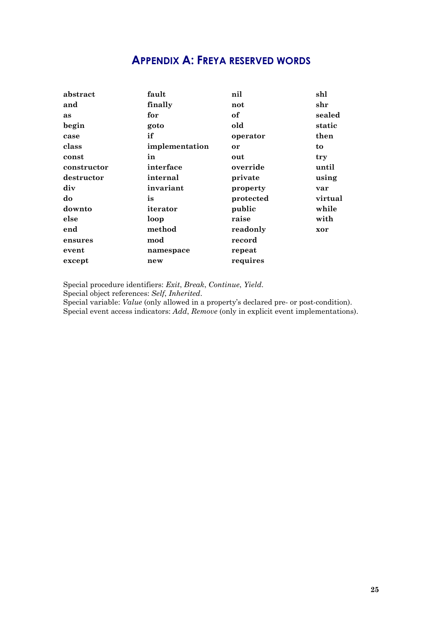# **APPENDIX A: FREYA RESERVED WORDS**

<span id="page-24-0"></span>

| abstract    | fault          | nil       | shl           |
|-------------|----------------|-----------|---------------|
| and         | finally        | not       | $_{\rm{shr}}$ |
| as          | for            | of        | sealed        |
| begin       | goto           | old       | static        |
| case        | if             | operator  | then          |
| class       | implementation | or        | to            |
| const       | in             | out       | try           |
| constructor | interface      | override  | until         |
| destructor  | internal       | private   | using         |
| div         | invariant      | property  | var           |
| do          | is             | protected | virtual       |
| downto      | iterator       | public    | while         |
| else        | loop           | raise     | with          |
| end         | method         | readonly  | xor           |
| ensures     | mod            | record    |               |
| event       | namespace      | repeat    |               |
| except      | new            | requires  |               |

Special procedure identifiers: Exit, Break, Continue, Yield.

Special object references: Self, Inherited.

Special variable: Value (only allowed in a property's declared pre- or post-condition). Special event access indicators: Add, Remove (only in explicit event implementations).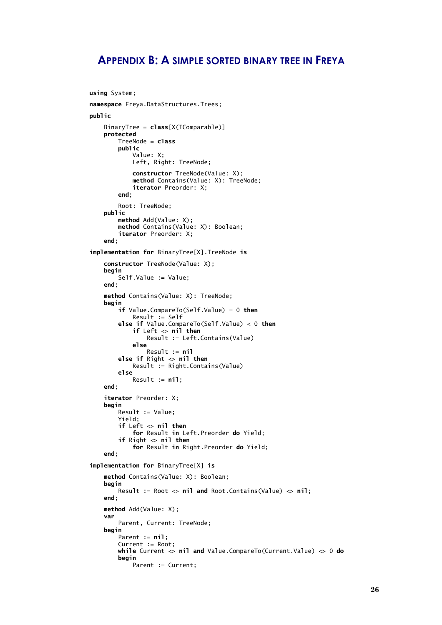## <span id="page-25-0"></span>**APPENDIX B: A SIMPLE SORTED BINARY TREE IN FREYA**

```
using System;
namespace Freya.DataStructures.Trees;
public
    BinaryTree = class[X(IComparable)]protected
         TreeNode = classpublic
             Value: X;
             Left, Right: TreeNode;
             constructor TreeNode(Value: X);
             method Contains(Value: X): TreeNode;
             iterator Preorder: X;
         end:
         Root: TreeNode;
    public
         method Add(Value: X);
         method Contains(Value: X): Boolean;
         iterator Preorder: X:
    end:
implementation for BinaryTree[X]. TreeNode is
    constructor TreeNode(Value: X);
    begin
         Self Value := Value;and \cdotmethod Contains(Value: X): TreeNode;
    begin
         if Value.CompareTo(Self.Value) = 0 then
             Result := Self
         else if Value.CompareTo(Self.Value) < 0 then
             if Left \sim nil then
                  Result := Left.Contains(Value)
             else
                  Result := nilelse if Right \langle \rangle nil then<br>Result := Right.Contains(Value)
         else
             Result := nil:end;
    iterator Preorder: X:
    beain
         Result := Value;
         Yield:
         if Left \Leftrightarrow \text{nil} \text{ then}<br>for Result in Left.Preorder do Yield;
         if Right \langle nil then
             for Result in Right. Preorder do Yield;
    end;
implementation for BinaryTree[X] is
    method Contains(Value: X): Boolean;
    beain
        Result := Root \langle nil and Root. Contains (Value) \langle nil;
    end:
    method Add(Value: X);
    var
         Parent, Current: TreeNode;
    begin
         Parent := nil;Current := Root:while Current \leftrightarrow nil and Value. CompareTo(Current. Value) \leftrightarrow 0 do
         begin
             Parent := Current:
```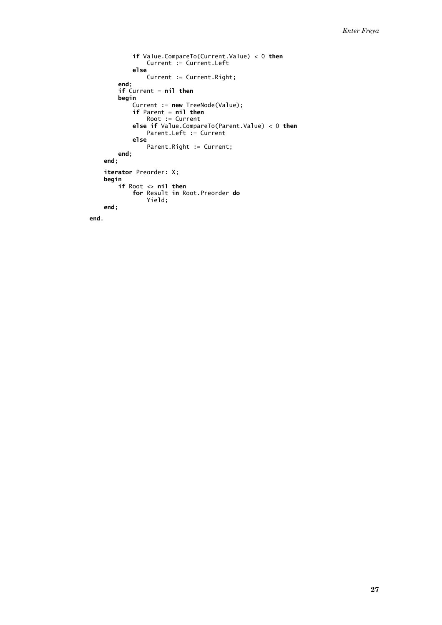```
if Value.CompareTo(Current.Value) < 0 then
              Current := Current.Left
          else
              Current := Current.Right;
     end;
     if Current = nil then
     begin
         ...<br>Current := new TreeNode(Value);<br>if Parent = nil then<br>Root := Current
         else if Value.CompareTo(Parent.Value) < 0 then
              Parent Left := Current
          else
              Parent.Right := Current;
    end;
end;
iterator Preorder: X;
begin
    ...<br>if Root <> nil then<br>for Result in Root.Preorder do
              Yield;
end;
```

```
end.
```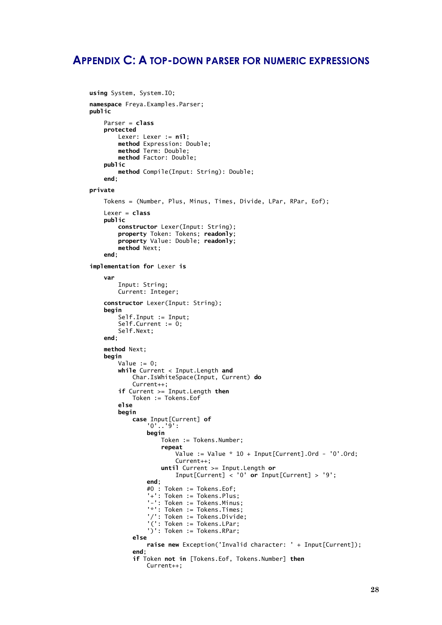## <span id="page-27-0"></span>**APPENDIX C: A TOP-DOWN PARSER FOR NUMERIC EXPRESSIONS**

```
using System, System. IO;
namespace Freya. Examples. Parser;
public
    Parser = classnrotected
         Lexer: Lexer := nil;method Expression: Double;
         method Term: Double;<br>method Term: Double;<br>method Factor: Double;
    public
         method Compile(Input: String): Double;
    end:
private
    Tokens = (Number, Plus, Minus, Times, Divide, LPar, RPar, Eof);
    Lexer = classpublic
         constructor Lexer(Input: String);
         property Token: Tokens; readonly;<br>property Value: Double; readonly;
         method Next;
    end:
implementation for Lexer is
    var
         Input: String;
         Current: Integer:
    constructor Lexer(Input: String);
    begin
         ...<br>Self.Input := Input;<br>Self.Current := 0;
         Self.Next;
    end;
    method Next;
    begin
         Value := 0;
         while Current < Input.Length and
              Char IsWhiteSpace(Input, Current) do
              Current++;
         if Current >= Input. Length then
              Token := Tokens.Eof
         می آم
         begin
              case Input[Current] of
                   '0'. '9':
                   begin
                       Token := Tokens.Number;
                       repeat
                            Value := Value * 10 + Input[Current].Ord - '0'.Ord;Current++until Current >= Input. Length or
                            Input[Current] < '0' or Input[Current] > '9';
                  end:
                   #0 : Token := Tokens.Eof;
                   "- " : Token := Tokens.Plus;<br>'-': Token := Tokens.Plus;<br>'-': Token := Tokens.Minus:
                   '*': Token := Tokens. Times;
                   '/': Token := Tokens.Divide;
                   "(': Token := Tokens.LPar;
                   ')': Token := Tokens.RPar;
              else
                   raise new Exception('Invalid character: ' + Input[Current]);
              end;
              if Token not in [Tokens.Eof, Tokens.Number] then
                  Current++:
```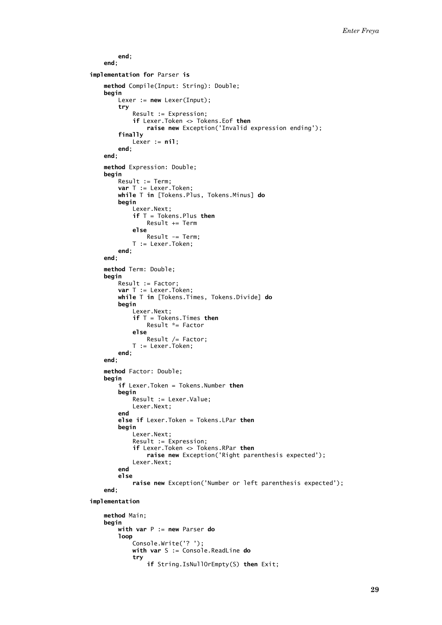```
end;
   end:
implementation for Parser is
   method Compile(Input: String): Double;
   begin
        Lexer := new Lexer(Input);
        try
            Result := Expression;
            if Lexer Token \leftrightarrow Tokens Eof then
                raise new Exception('Invalid expression ending');
        finally
           Lexer := nil;end:
   end;
   method Expression: Double;
   begin
        Result := Term;var T := Lexer. Token;
        while T in [Tokens. Plus, Tokens. Minus] do
        begin
            Lexer.Next;
            if T = \text{Tokens}. Plus then
                Result += Term
            else
                Result -= Term;
            T := Lexer.Token:
        end:
   end:
   method Term: Double;
   begin
        Result := Factor;
        var T := Lexer. Token;
        while T in [Tokens. Times, Tokens. Divide] do
        begin
            Lexer.Next;
            if T = \text{Tokens.} Times then
                Result *= Factor
            else
                Result /= Factor;
            T := Lexer. Token:
        end:
   end;
   method Factor: Double;
   begin
        if Lexer. Token = Tokens. Number then
        begin
            Result := Lexer.Value;
            Lexer.Next;
        end
        else if Lexer. Token = Tokens. LPar then
        begin
            Lexer.Next;
            Result := Expression;
            if Lexer. Token \leq Tokens. RPar then
                raise new Exception('Right parenthesis expected');
            Lexer.Next;
        end
        else
            raise new Exception('Number or left parenthesis expected');
   end:
implementation
   method Main:
   begin
        with var P := new Parser do
        loop
            Console.Write('?');
            with var S :=Console ReadLine do
            try
                if String. IsNullOrEmpty(S) then Exit;
```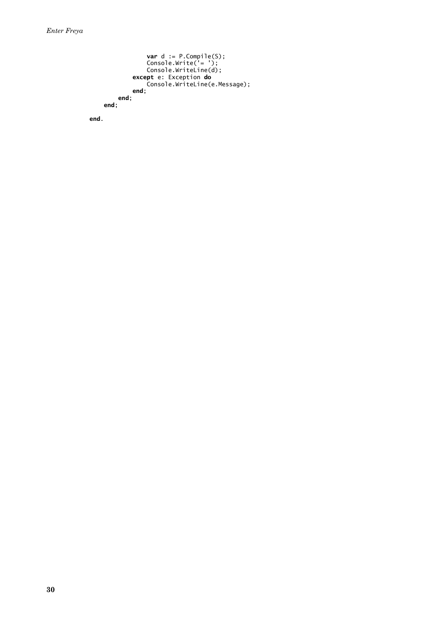```
var d := P.Compile(S);<br>
Console.Write('= ');<br>
Console.WriteLine(d);<br>
except e: Exception do<br>
Console.WriteLine(e.Message);
           end;<br>end;<br>;
end;
```
end.